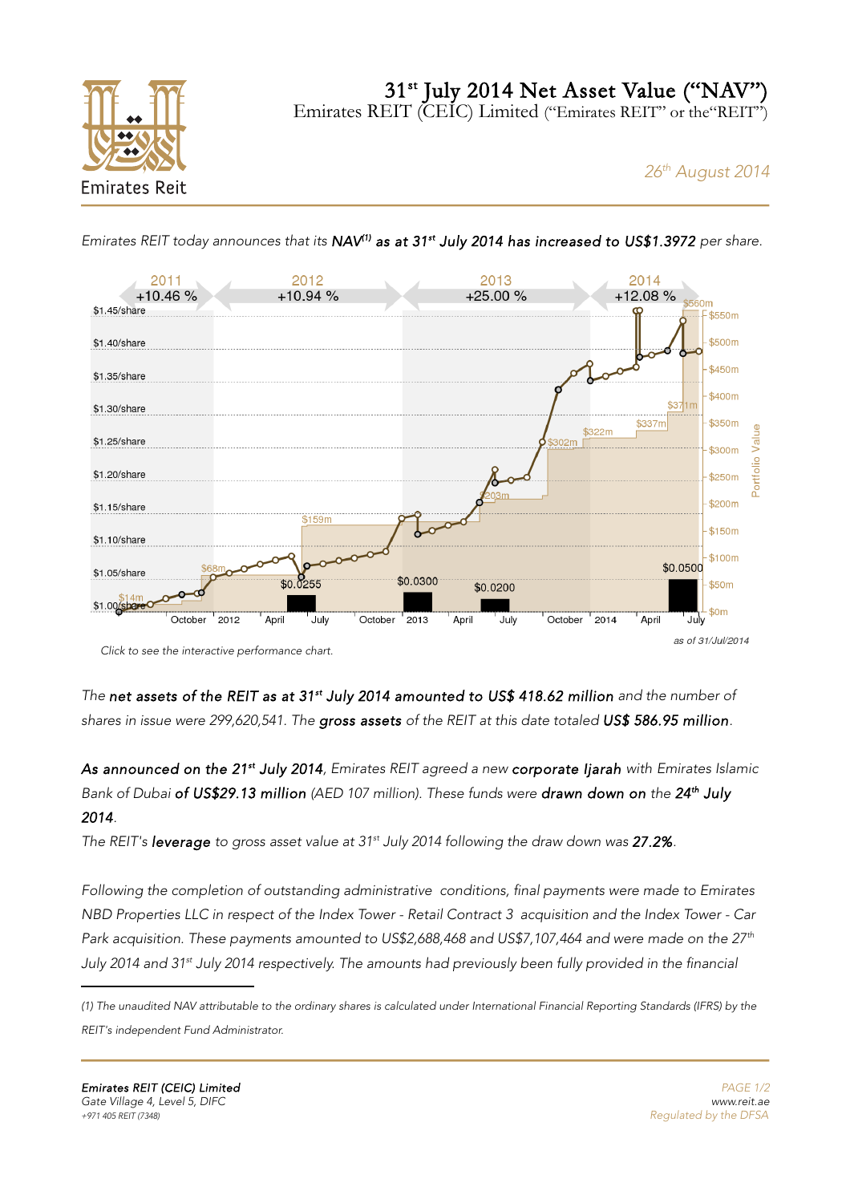31<sup>st</sup> July 2014 Net Asset Value ("NAV")

Emirates REIT (CEIC) Limited ("Emirates REIT" or the "REIT")



# 26<sup>th</sup> August 2014



Emirates REIT today announces that its NAV<sup>[\(1\)](#page-0-0)</sup> as at 31<sup>st</sup> July 2014 has increased to US\$1.3972 per share.

[Click to see the interactive performance chart.](http://reit.ae/reit/page/performance)

The net assets of the REIT as at 31<sup>st</sup> July 2014 amounted to US\$ 418.62 million and the number of shares in issue were 299,620,541. The gross assets of the REIT at this date totaled US\$ 586.95 million.

As announced on the 21<sup>st</sup> July 2014, Emirates REIT agreed a new corporate Ijarah with Emirates Islamic Bank of Dubai of US\$29.13 million (AED 107 million). These funds were drawn down on the 24<sup>th</sup> July 2014.

The REIT's leverage to gross asset value at  $31<sup>st</sup>$  July 2014 following the draw down was 27.2%.

Following the completion of outstanding administrative conditions, final payments were made to Emirates NBD Properties LLC in respect of the Index Tower - Retail Contract 3 acquisition and the Index Tower - Car Park acquisition. These payments amounted to US\$2,688,468 and US\$7,107,464 and were made on the  $27<sup>th</sup>$ July 2014 and 31<sup>st</sup> July 2014 respectively. The amounts had previously been fully provided in the financial

<span id="page-0-0"></span><sup>(1)</sup> The unaudited NAV attributable to the ordinary shares is calculated under International Financial Reporting Standards (IFRS) by the

REIT's independent Fund Administrator.